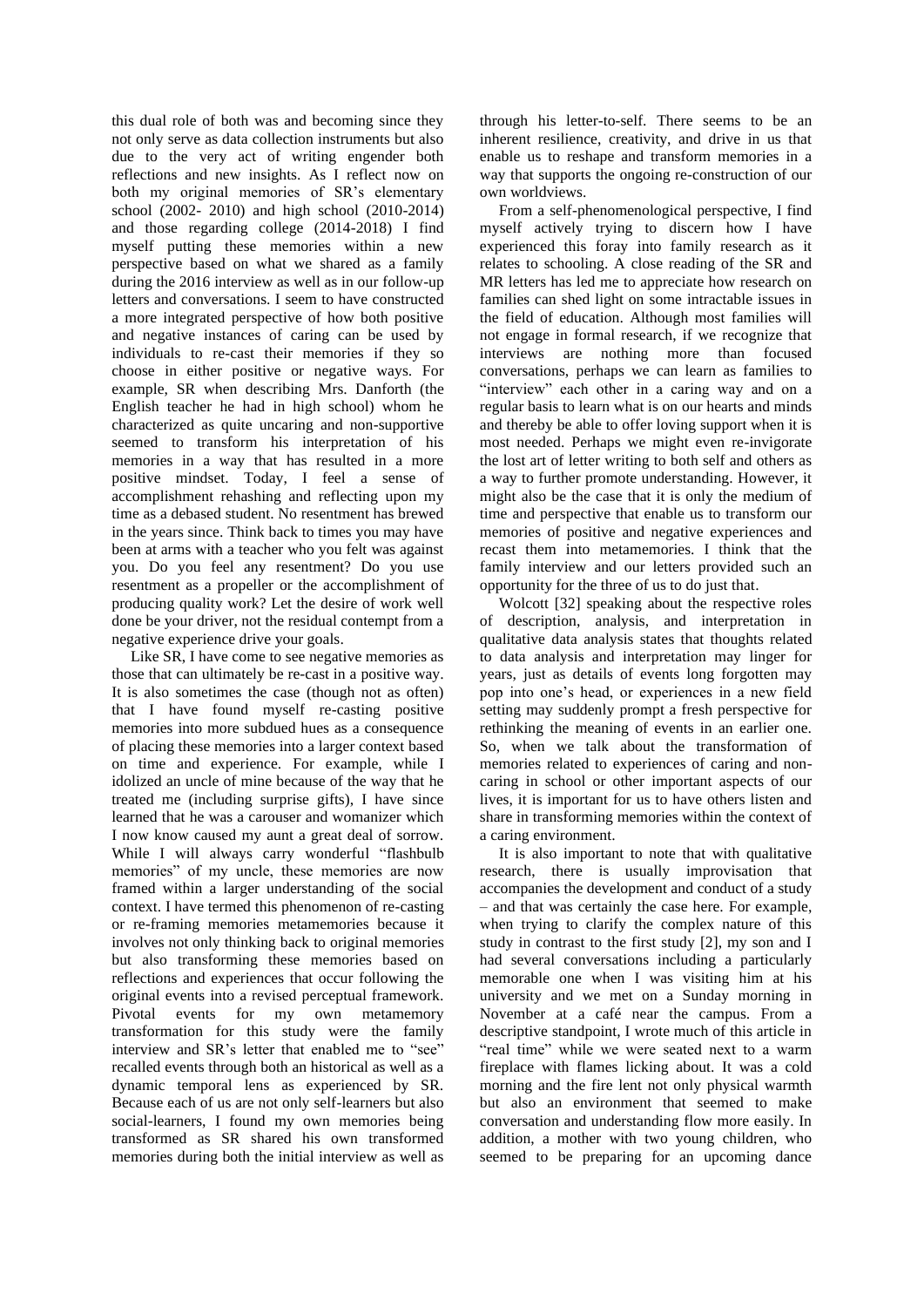this dual role of both was and becoming since they not only serve as data collection instruments but also due to the very act of writing engender both reflections and new insights. As I reflect now on both my original memories of SR's elementary school (2002- 2010) and high school (2010-2014) and those regarding college (2014-2018) I find myself putting these memories within a new perspective based on what we shared as a family during the 2016 interview as well as in our follow-up letters and conversations. I seem to have constructed a more integrated perspective of how both positive and negative instances of caring can be used by individuals to re-cast their memories if they so choose in either positive or negative ways. For example, SR when describing Mrs. Danforth (the English teacher he had in high school) whom he characterized as quite uncaring and non-supportive seemed to transform his interpretation of his memories in a way that has resulted in a more positive mindset. Today, I feel a sense of accomplishment rehashing and reflecting upon my time as a debased student. No resentment has brewed in the years since. Think back to times you may have been at arms with a teacher who you felt was against you. Do you feel any resentment? Do you use resentment as a propeller or the accomplishment of producing quality work? Let the desire of work well done be your driver, not the residual contempt from a negative experience drive your goals.

Like SR, I have come to see negative memories as those that can ultimately be re-cast in a positive way. It is also sometimes the case (though not as often) that I have found myself re-casting positive memories into more subdued hues as a consequence of placing these memories into a larger context based on time and experience. For example, while I idolized an uncle of mine because of the way that he treated me (including surprise gifts), I have since learned that he was a carouser and womanizer which I now know caused my aunt a great deal of sorrow. While I will always carry wonderful "flashbulb memories" of my uncle, these memories are now framed within a larger understanding of the social context. I have termed this phenomenon of re-casting or re-framing memories metamemories because it involves not only thinking back to original memories but also transforming these memories based on reflections and experiences that occur following the original events into a revised perceptual framework. Pivotal events for my own metamemory transformation for this study were the family interview and SR's letter that enabled me to "see" recalled events through both an historical as well as a dynamic temporal lens as experienced by SR. Because each of us are not only self-learners but also social-learners, I found my own memories being transformed as SR shared his own transformed memories during both the initial interview as well as

through his letter-to-self. There seems to be an inherent resilience, creativity, and drive in us that enable us to reshape and transform memories in a way that supports the ongoing re-construction of our own worldviews.

From a self-phenomenological perspective, I find myself actively trying to discern how I have experienced this foray into family research as it relates to schooling. A close reading of the SR and MR letters has led me to appreciate how research on families can shed light on some intractable issues in the field of education. Although most families will not engage in formal research, if we recognize that interviews are nothing more than focused conversations, perhaps we can learn as families to "interview" each other in a caring way and on a regular basis to learn what is on our hearts and minds and thereby be able to offer loving support when it is most needed. Perhaps we might even re-invigorate the lost art of letter writing to both self and others as a way to further promote understanding. However, it might also be the case that it is only the medium of time and perspective that enable us to transform our memories of positive and negative experiences and recast them into metamemories. I think that the family interview and our letters provided such an opportunity for the three of us to do just that.

Wolcott [32] speaking about the respective roles of description, analysis, and interpretation in qualitative data analysis states that thoughts related to data analysis and interpretation may linger for years, just as details of events long forgotten may pop into one's head, or experiences in a new field setting may suddenly prompt a fresh perspective for rethinking the meaning of events in an earlier one. So, when we talk about the transformation of memories related to experiences of caring and noncaring in school or other important aspects of our lives, it is important for us to have others listen and share in transforming memories within the context of a caring environment.

It is also important to note that with qualitative research, there is usually improvisation that accompanies the development and conduct of a study – and that was certainly the case here. For example, when trying to clarify the complex nature of this study in contrast to the first study [2], my son and I had several conversations including a particularly memorable one when I was visiting him at his university and we met on a Sunday morning in November at a café near the campus. From a descriptive standpoint, I wrote much of this article in "real time" while we were seated next to a warm fireplace with flames licking about. It was a cold morning and the fire lent not only physical warmth but also an environment that seemed to make conversation and understanding flow more easily. In addition, a mother with two young children, who seemed to be preparing for an upcoming dance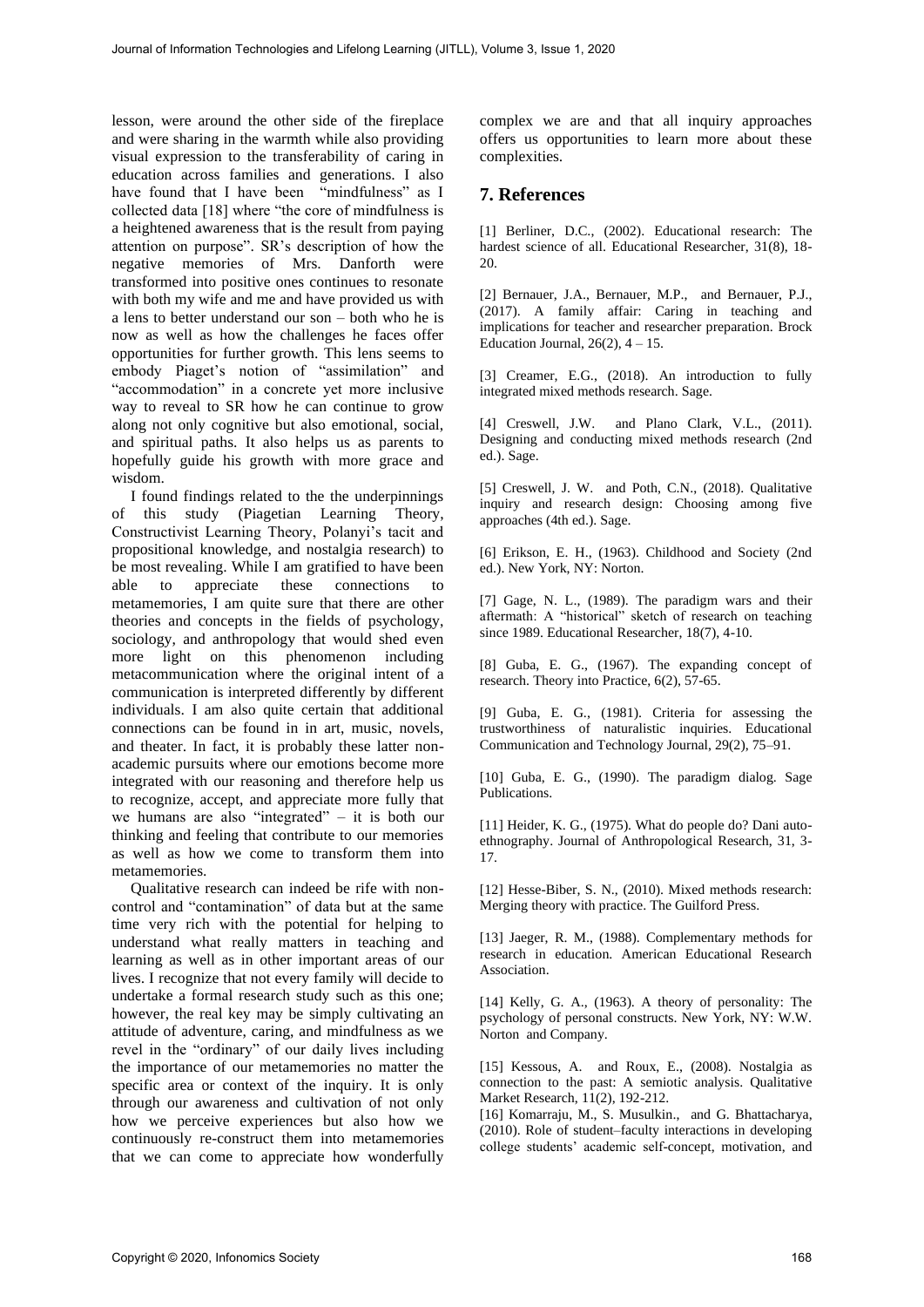lesson, were around the other side of the fireplace and were sharing in the warmth while also providing visual expression to the transferability of caring in education across families and generations. I also have found that I have been "mindfulness" as I collected data [18] where "the core of mindfulness is a heightened awareness that is the result from paying attention on purpose". SR's description of how the negative memories of Mrs. Danforth were transformed into positive ones continues to resonate with both my wife and me and have provided us with a lens to better understand our son – both who he is now as well as how the challenges he faces offer opportunities for further growth. This lens seems to embody Piaget's notion of "assimilation" and "accommodation" in a concrete yet more inclusive way to reveal to SR how he can continue to grow along not only cognitive but also emotional, social, and spiritual paths. It also helps us as parents to hopefully guide his growth with more grace and wisdom.

I found findings related to the the underpinnings of this study (Piagetian Learning Theory, Constructivist Learning Theory, Polanyi's tacit and propositional knowledge, and nostalgia research) to be most revealing. While I am gratified to have been<br>able to appreciate these connections to able to appreciate these connections to metamemories, I am quite sure that there are other theories and concepts in the fields of psychology, sociology, and anthropology that would shed even more light on this phenomenon including metacommunication where the original intent of a communication is interpreted differently by different individuals. I am also quite certain that additional connections can be found in in art, music, novels, and theater. In fact, it is probably these latter nonacademic pursuits where our emotions become more integrated with our reasoning and therefore help us to recognize, accept, and appreciate more fully that we humans are also "integrated" – it is both our thinking and feeling that contribute to our memories as well as how we come to transform them into metamemories.

Qualitative research can indeed be rife with noncontrol and "contamination" of data but at the same time very rich with the potential for helping to understand what really matters in teaching and learning as well as in other important areas of our lives. I recognize that not every family will decide to undertake a formal research study such as this one; however, the real key may be simply cultivating an attitude of adventure, caring, and mindfulness as we revel in the "ordinary" of our daily lives including the importance of our metamemories no matter the specific area or context of the inquiry. It is only through our awareness and cultivation of not only how we perceive experiences but also how we continuously re-construct them into metamemories that we can come to appreciate how wonderfully complex we are and that all inquiry approaches offers us opportunities to learn more about these complexities.

## **7. References**

[1] Berliner, D.C., (2002). Educational research: The hardest science of all. Educational Researcher, 31(8), 18- 20.

[2] Bernauer, J.A., Bernauer, M.P., and Bernauer, P.J., (2017). A family affair: Caring in teaching and implications for teacher and researcher preparation. Brock Education Journal,  $26(2)$ ,  $4 - 15$ .

[3] Creamer, E.G., (2018). An introduction to fully integrated mixed methods research. Sage.

[4] Creswell, J.W. and Plano Clark, V.L., (2011). Designing and conducting mixed methods research (2nd ed.). Sage.

[5] Creswell, J. W. and Poth, C.N., (2018). Qualitative inquiry and research design: Choosing among five approaches (4th ed.). Sage.

[6] Erikson, E. H., (1963). Childhood and Society (2nd ed.). New York, NY: Norton.

[7] Gage, N. L., (1989). The paradigm wars and their aftermath: A "historical" sketch of research on teaching since 1989. Educational Researcher, 18(7), 4-10.

[8] Guba, E. G., (1967). The expanding concept of research. Theory into Practice, 6(2), 57-65.

[9] Guba, E. G., (1981). Criteria for assessing the trustworthiness of naturalistic inquiries. Educational Communication and Technology Journal, 29(2), 75–91.

[10] Guba, E. G., (1990). The paradigm dialog. Sage Publications.

[11] Heider, K. G., (1975). What do people do? Dani autoethnography. Journal of Anthropological Research, 31, 3- 17.

[12] Hesse-Biber, S. N., (2010). Mixed methods research: Merging theory with practice. The Guilford Press.

[13] Jaeger, R. M., (1988). Complementary methods for research in education. American Educational Research Association.

[14] Kelly, G. A., (1963). A theory of personality: The psychology of personal constructs. New York, NY: W.W. Norton and Company.

[15] Kessous, A. and Roux, E., (2008). Nostalgia as connection to the past: A semiotic analysis. Qualitative Market Research, 11(2), 192-212.

[16] Komarraju, M., S. Musulkin., and G. Bhattacharya, (2010). Role of student–faculty interactions in developing college students' academic self-concept, motivation, and